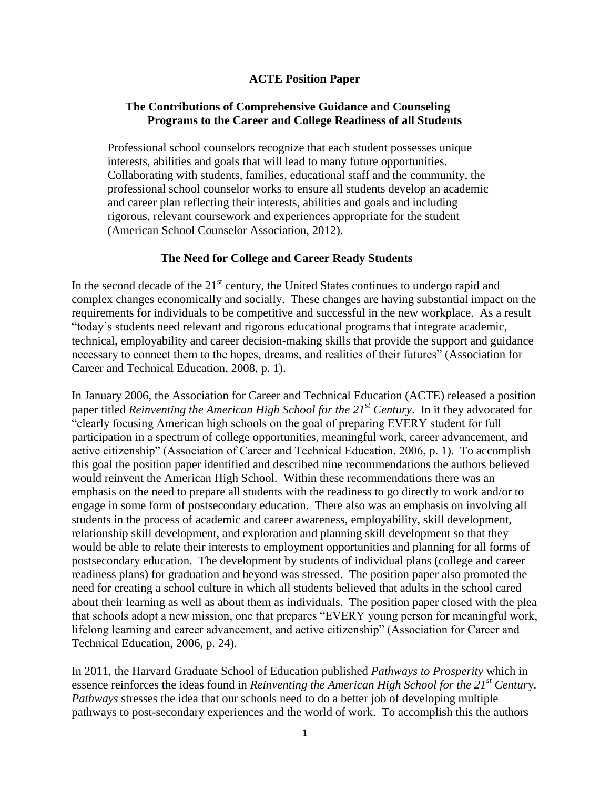### **ACTE Position Paper**

## **The Contributions of Comprehensive Guidance and Counseling Programs to the Career and College Readiness of all Students**

Professional school counselors recognize that each student possesses unique interests, abilities and goals that will lead to many future opportunities. Collaborating with students, families, educational staff and the community, the professional school counselor works to ensure all students develop an academic and career plan reflecting their interests, abilities and goals and including rigorous, relevant coursework and experiences appropriate for the student (American School Counselor Association, 2012).

### **The Need for College and Career Ready Students**

In the second decade of the  $21<sup>st</sup>$  century, the United States continues to undergo rapid and complex changes economically and socially. These changes are having substantial impact on the requirements for individuals to be competitive and successful in the new workplace. As a result "today's students need relevant and rigorous educational programs that integrate academic, technical, employability and career decision-making skills that provide the support and guidance necessary to connect them to the hopes, dreams, and realities of their futures" (Association for Career and Technical Education, 2008, p. 1).

In January 2006, the Association for Career and Technical Education (ACTE) released a position paper titled *Reinventing the American High School for the 21st Century*. In it they advocated for "clearly focusing American high schools on the goal of preparing EVERY student for full participation in a spectrum of college opportunities, meaningful work, career advancement, and active citizenship" (Association of Career and Technical Education, 2006, p. 1). To accomplish this goal the position paper identified and described nine recommendations the authors believed would reinvent the American High School. Within these recommendations there was an emphasis on the need to prepare all students with the readiness to go directly to work and/or to engage in some form of postsecondary education. There also was an emphasis on involving all students in the process of academic and career awareness, employability, skill development, relationship skill development, and exploration and planning skill development so that they would be able to relate their interests to employment opportunities and planning for all forms of postsecondary education. The development by students of individual plans (college and career readiness plans) for graduation and beyond was stressed. The position paper also promoted the need for creating a school culture in which all students believed that adults in the school cared about their learning as well as about them as individuals. The position paper closed with the plea that schools adopt a new mission, one that prepares "EVERY young person for meaningful work, lifelong learning and career advancement, and active citizenship" (Association for Career and Technical Education, 2006, p. 24).

In 2011, the Harvard Graduate School of Education published *Pathways to Prosperity* which in essence reinforces the ideas found in *Reinventing the American High School for the 21st Centur*y. *Pathways* stresses the idea that our schools need to do a better job of developing multiple pathways to post-secondary experiences and the world of work. To accomplish this the authors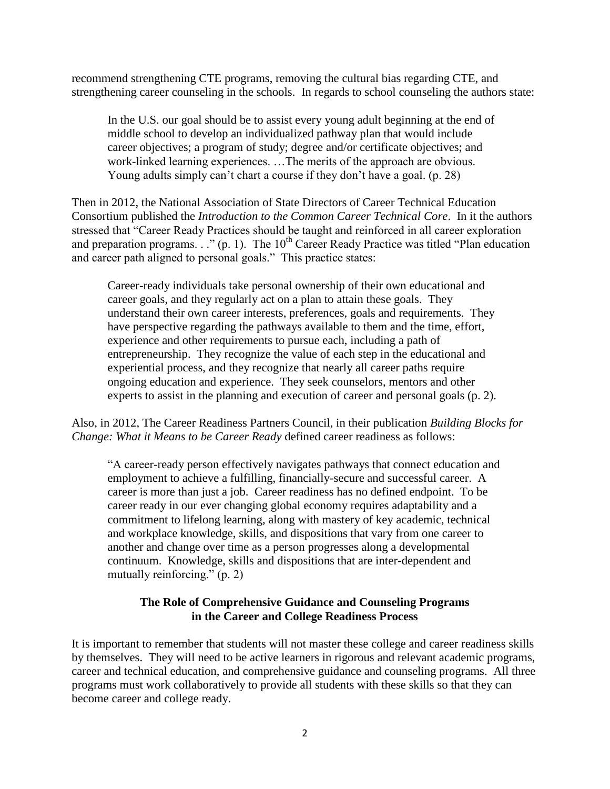recommend strengthening CTE programs, removing the cultural bias regarding CTE, and strengthening career counseling in the schools. In regards to school counseling the authors state:

In the U.S. our goal should be to assist every young adult beginning at the end of middle school to develop an individualized pathway plan that would include career objectives; a program of study; degree and/or certificate objectives; and work-linked learning experiences. …The merits of the approach are obvious. Young adults simply can't chart a course if they don't have a goal. (p. 28)

Then in 2012, the National Association of State Directors of Career Technical Education Consortium published the *Introduction to the Common Career Technical Core*. In it the authors stressed that "Career Ready Practices should be taught and reinforced in all career exploration and preparation programs. . ." (p. 1). The  $10<sup>th</sup>$  Career Ready Practice was titled "Plan education" and career path aligned to personal goals." This practice states:

Career-ready individuals take personal ownership of their own educational and career goals, and they regularly act on a plan to attain these goals. They understand their own career interests, preferences, goals and requirements. They have perspective regarding the pathways available to them and the time, effort, experience and other requirements to pursue each, including a path of entrepreneurship. They recognize the value of each step in the educational and experiential process, and they recognize that nearly all career paths require ongoing education and experience. They seek counselors, mentors and other experts to assist in the planning and execution of career and personal goals (p. 2).

Also, in 2012, The Career Readiness Partners Council, in their publication *Building Blocks for Change: What it Means to be Career Ready* defined career readiness as follows:

"A career-ready person effectively navigates pathways that connect education and employment to achieve a fulfilling, financially-secure and successful career. A career is more than just a job. Career readiness has no defined endpoint. To be career ready in our ever changing global economy requires adaptability and a commitment to lifelong learning, along with mastery of key academic, technical and workplace knowledge, skills, and dispositions that vary from one career to another and change over time as a person progresses along a developmental continuum. Knowledge, skills and dispositions that are inter-dependent and mutually reinforcing." (p. 2)

## **The Role of Comprehensive Guidance and Counseling Programs in the Career and College Readiness Process**

It is important to remember that students will not master these college and career readiness skills by themselves. They will need to be active learners in rigorous and relevant academic programs, career and technical education, and comprehensive guidance and counseling programs. All three programs must work collaboratively to provide all students with these skills so that they can become career and college ready.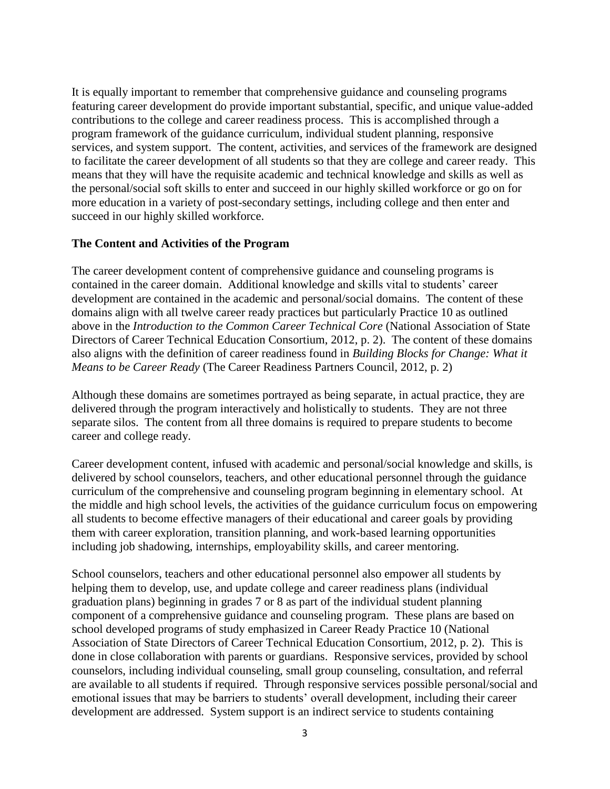It is equally important to remember that comprehensive guidance and counseling programs featuring career development do provide important substantial, specific, and unique value-added contributions to the college and career readiness process. This is accomplished through a program framework of the guidance curriculum, individual student planning, responsive services, and system support. The content, activities, and services of the framework are designed to facilitate the career development of all students so that they are college and career ready. This means that they will have the requisite academic and technical knowledge and skills as well as the personal/social soft skills to enter and succeed in our highly skilled workforce or go on for more education in a variety of post-secondary settings, including college and then enter and succeed in our highly skilled workforce.

### **The Content and Activities of the Program**

The career development content of comprehensive guidance and counseling programs is contained in the career domain. Additional knowledge and skills vital to students' career development are contained in the academic and personal/social domains. The content of these domains align with all twelve career ready practices but particularly Practice 10 as outlined above in the *Introduction to the Common Career Technical Core* (National Association of State Directors of Career Technical Education Consortium, 2012, p. 2). The content of these domains also aligns with the definition of career readiness found in *Building Blocks for Change: What it Means to be Career Ready* (The Career Readiness Partners Council, 2012, p. 2)

Although these domains are sometimes portrayed as being separate, in actual practice, they are delivered through the program interactively and holistically to students. They are not three separate silos. The content from all three domains is required to prepare students to become career and college ready.

Career development content, infused with academic and personal/social knowledge and skills, is delivered by school counselors, teachers, and other educational personnel through the guidance curriculum of the comprehensive and counseling program beginning in elementary school. At the middle and high school levels, the activities of the guidance curriculum focus on empowering all students to become effective managers of their educational and career goals by providing them with career exploration, transition planning, and work-based learning opportunities including job shadowing, internships, employability skills, and career mentoring.

School counselors, teachers and other educational personnel also empower all students by helping them to develop, use, and update college and career readiness plans (individual graduation plans) beginning in grades 7 or 8 as part of the individual student planning component of a comprehensive guidance and counseling program. These plans are based on school developed programs of study emphasized in Career Ready Practice 10 (National Association of State Directors of Career Technical Education Consortium, 2012, p. 2). This is done in close collaboration with parents or guardians. Responsive services, provided by school counselors, including individual counseling, small group counseling, consultation, and referral are available to all students if required. Through responsive services possible personal/social and emotional issues that may be barriers to students' overall development, including their career development are addressed. System support is an indirect service to students containing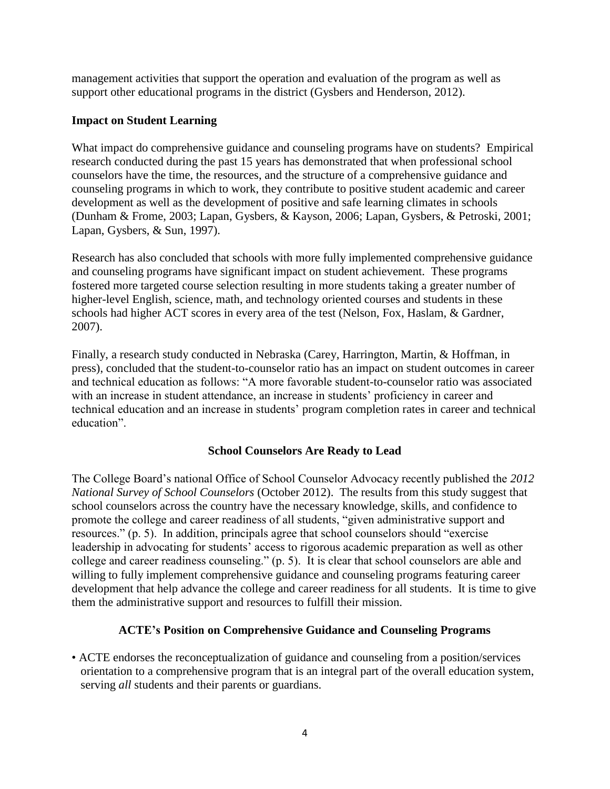management activities that support the operation and evaluation of the program as well as support other educational programs in the district (Gysbers and Henderson, 2012).

## **Impact on Student Learning**

What impact do comprehensive guidance and counseling programs have on students? Empirical research conducted during the past 15 years has demonstrated that when professional school counselors have the time, the resources, and the structure of a comprehensive guidance and counseling programs in which to work, they contribute to positive student academic and career development as well as the development of positive and safe learning climates in schools (Dunham & Frome, 2003; Lapan, Gysbers, & Kayson, 2006; Lapan, Gysbers, & Petroski, 2001; Lapan, Gysbers, & Sun, 1997).

Research has also concluded that schools with more fully implemented comprehensive guidance and counseling programs have significant impact on student achievement. These programs fostered more targeted course selection resulting in more students taking a greater number of higher-level English, science, math, and technology oriented courses and students in these schools had higher ACT scores in every area of the test (Nelson, Fox, Haslam, & Gardner, 2007).

Finally, a research study conducted in Nebraska (Carey, Harrington, Martin, & Hoffman, in press), concluded that the student-to-counselor ratio has an impact on student outcomes in career and technical education as follows: "A more favorable student-to-counselor ratio was associated with an increase in student attendance, an increase in students' proficiency in career and technical education and an increase in students' program completion rates in career and technical education".

# **School Counselors Are Ready to Lead**

The College Board's national Office of School Counselor Advocacy recently published the *2012 National Survey of School Counselors* (October 2012). The results from this study suggest that school counselors across the country have the necessary knowledge, skills, and confidence to promote the college and career readiness of all students, "given administrative support and resources." (p. 5). In addition, principals agree that school counselors should "exercise leadership in advocating for students' access to rigorous academic preparation as well as other college and career readiness counseling." (p. 5). It is clear that school counselors are able and willing to fully implement comprehensive guidance and counseling programs featuring career development that help advance the college and career readiness for all students. It is time to give them the administrative support and resources to fulfill their mission.

### **ACTE's Position on Comprehensive Guidance and Counseling Programs**

• ACTE endorses the reconceptualization of guidance and counseling from a position/services orientation to a comprehensive program that is an integral part of the overall education system, serving *all* students and their parents or guardians.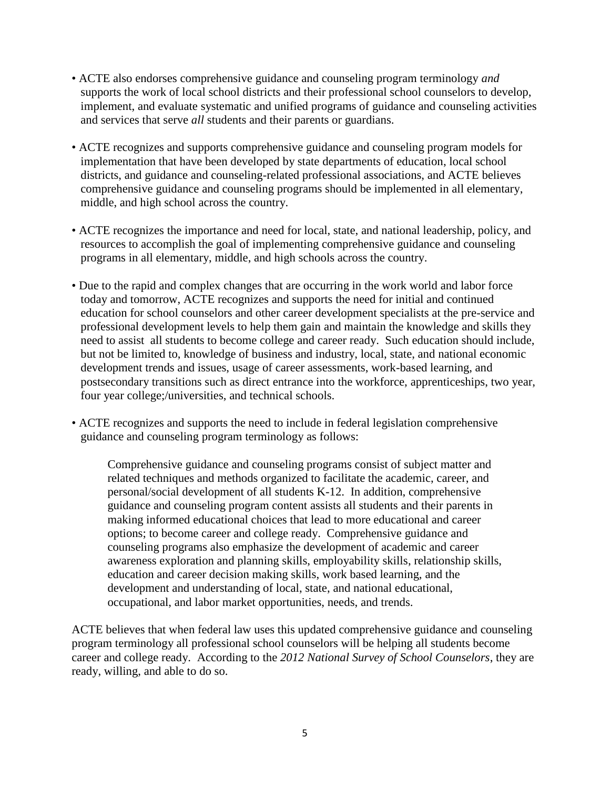- ACTE also endorses comprehensive guidance and counseling program terminology *and* supports the work of local school districts and their professional school counselors to develop, implement, and evaluate systematic and unified programs of guidance and counseling activities and services that serve *all* students and their parents or guardians.
- ACTE recognizes and supports comprehensive guidance and counseling program models for implementation that have been developed by state departments of education, local school districts, and guidance and counseling-related professional associations, and ACTE believes comprehensive guidance and counseling programs should be implemented in all elementary, middle, and high school across the country.
- ACTE recognizes the importance and need for local, state, and national leadership, policy, and resources to accomplish the goal of implementing comprehensive guidance and counseling programs in all elementary, middle, and high schools across the country.
- Due to the rapid and complex changes that are occurring in the work world and labor force today and tomorrow, ACTE recognizes and supports the need for initial and continued education for school counselors and other career development specialists at the pre-service and professional development levels to help them gain and maintain the knowledge and skills they need to assist all students to become college and career ready. Such education should include, but not be limited to, knowledge of business and industry, local, state, and national economic development trends and issues, usage of career assessments, work-based learning, and postsecondary transitions such as direct entrance into the workforce, apprenticeships, two year, four year college;/universities, and technical schools.
- ACTE recognizes and supports the need to include in federal legislation comprehensive guidance and counseling program terminology as follows:

Comprehensive guidance and counseling programs consist of subject matter and related techniques and methods organized to facilitate the academic, career, and personal/social development of all students K-12. In addition, comprehensive guidance and counseling program content assists all students and their parents in making informed educational choices that lead to more educational and career options; to become career and college ready. Comprehensive guidance and counseling programs also emphasize the development of academic and career awareness exploration and planning skills, employability skills, relationship skills, education and career decision making skills, work based learning, and the development and understanding of local, state, and national educational, occupational, and labor market opportunities, needs, and trends.

ACTE believes that when federal law uses this updated comprehensive guidance and counseling program terminology all professional school counselors will be helping all students become career and college ready. According to the *2012 National Survey of School Counselors*, they are ready, willing, and able to do so.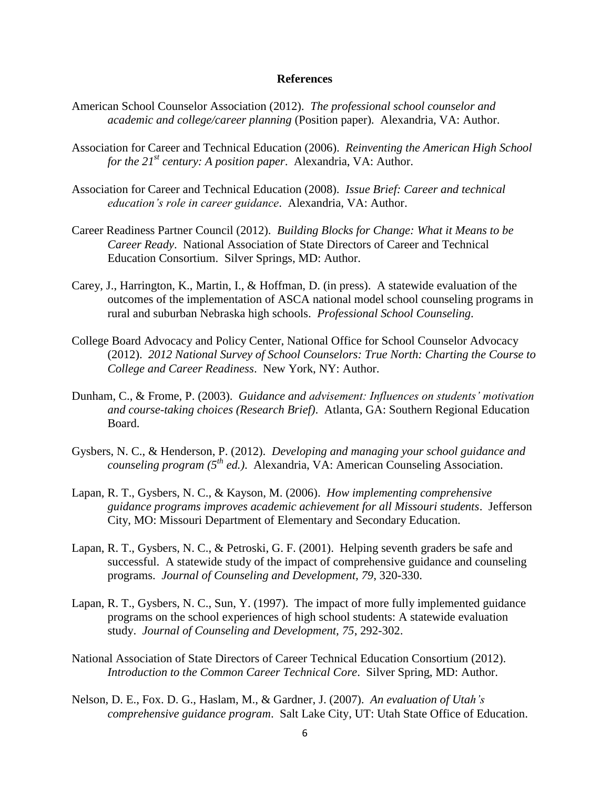#### **References**

- American School Counselor Association (2012). *The professional school counselor and academic and college/career planning* (Position paper). Alexandria, VA: Author.
- Association for Career and Technical Education (2006). *Reinventing the American High School for the 21st century: A position paper*. Alexandria, VA: Author.
- Association for Career and Technical Education (2008). *Issue Brief: Career and technical education's role in career guidance*. Alexandria, VA: Author.
- Career Readiness Partner Council (2012). *Building Blocks for Change: What it Means to be Career Ready*. National Association of State Directors of Career and Technical Education Consortium. Silver Springs, MD: Author.
- Carey, J., Harrington, K., Martin, I., & Hoffman, D. (in press). A statewide evaluation of the outcomes of the implementation of ASCA national model school counseling programs in rural and suburban Nebraska high schools. *Professional School Counseling*.
- College Board Advocacy and Policy Center, National Office for School Counselor Advocacy (2012). *2012 National Survey of School Counselors: True North: Charting the Course to College and Career Readiness*. New York, NY: Author.
- Dunham, C., & Frome, P. (2003). *Guidance and advisement: Influences on students' motivation and course-taking choices (Research Brief)*. Atlanta, GA: Southern Regional Education Board.
- Gysbers, N. C., & Henderson, P. (2012). *Developing and managing your school guidance and counseling program (5th ed.)*. Alexandria, VA: American Counseling Association.
- Lapan, R. T., Gysbers, N. C., & Kayson, M. (2006). *How implementing comprehensive guidance programs improves academic achievement for all Missouri students*. Jefferson City, MO: Missouri Department of Elementary and Secondary Education.
- Lapan, R. T., Gysbers, N. C., & Petroski, G. F. (2001). Helping seventh graders be safe and successful. A statewide study of the impact of comprehensive guidance and counseling programs. *Journal of Counseling and Development, 79*, 320-330.
- Lapan, R. T., Gysbers, N. C., Sun, Y. (1997). The impact of more fully implemented guidance programs on the school experiences of high school students: A statewide evaluation study. *Journal of Counseling and Development, 75*, 292-302.
- National Association of State Directors of Career Technical Education Consortium (2012). *Introduction to the Common Career Technical Core*. Silver Spring, MD: Author.
- Nelson, D. E., Fox. D. G., Haslam, M., & Gardner, J. (2007). *An evaluation of Utah's comprehensive guidance program*. Salt Lake City, UT: Utah State Office of Education.